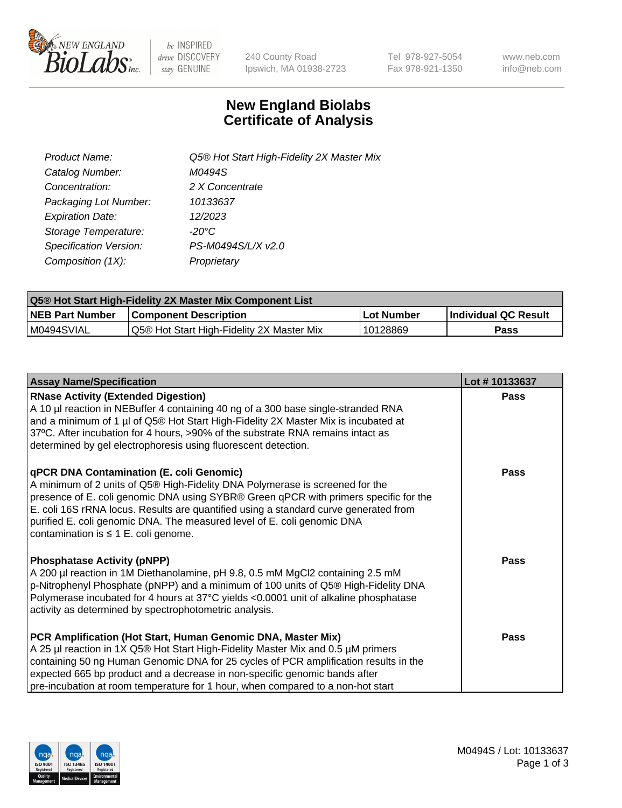

be INSPIRED drive DISCOVERY stay GENUINE

240 County Road Ipswich, MA 01938-2723 Tel 978-927-5054 Fax 978-921-1350 www.neb.com info@neb.com

## **New England Biolabs Certificate of Analysis**

| Product Name:           | Q5® Hot Start High-Fidelity 2X Master Mix |
|-------------------------|-------------------------------------------|
| Catalog Number:         | M0494S                                    |
| Concentration:          | 2 X Concentrate                           |
| Packaging Lot Number:   | 10133637                                  |
| <b>Expiration Date:</b> | 12/2023                                   |
| Storage Temperature:    | -20°C                                     |
| Specification Version:  | PS-M0494S/L/X v2.0                        |
| Composition (1X):       | Proprietary                               |

| Q5® Hot Start High-Fidelity 2X Master Mix Component List |                                           |              |                      |  |  |
|----------------------------------------------------------|-------------------------------------------|--------------|----------------------|--|--|
| <b>NEB Part Number</b>                                   | <b>Component Description</b>              | l Lot Number | Individual QC Result |  |  |
| I M0494SVIAL                                             | Q5® Hot Start High-Fidelity 2X Master Mix | ' 10128869   | Pass                 |  |  |

| <b>Assay Name/Specification</b>                                                                                                                                                                                                                                                                                                                                                                                                         | Lot #10133637 |
|-----------------------------------------------------------------------------------------------------------------------------------------------------------------------------------------------------------------------------------------------------------------------------------------------------------------------------------------------------------------------------------------------------------------------------------------|---------------|
| <b>RNase Activity (Extended Digestion)</b><br>A 10 µl reaction in NEBuffer 4 containing 40 ng of a 300 base single-stranded RNA<br>and a minimum of 1 µl of Q5® Hot Start High-Fidelity 2X Master Mix is incubated at<br>37°C. After incubation for 4 hours, >90% of the substrate RNA remains intact as<br>determined by gel electrophoresis using fluorescent detection.                                                              | <b>Pass</b>   |
| <b>qPCR DNA Contamination (E. coli Genomic)</b><br>A minimum of 2 units of Q5® High-Fidelity DNA Polymerase is screened for the<br>presence of E. coli genomic DNA using SYBR® Green qPCR with primers specific for the<br>E. coli 16S rRNA locus. Results are quantified using a standard curve generated from<br>purified E. coli genomic DNA. The measured level of E. coli genomic DNA<br>contamination is $\leq 1$ E. coli genome. | Pass          |
| <b>Phosphatase Activity (pNPP)</b><br>A 200 µl reaction in 1M Diethanolamine, pH 9.8, 0.5 mM MgCl2 containing 2.5 mM<br>p-Nitrophenyl Phosphate (pNPP) and a minimum of 100 units of Q5® High-Fidelity DNA<br>Polymerase incubated for 4 hours at 37°C yields <0.0001 unit of alkaline phosphatase<br>activity as determined by spectrophotometric analysis.                                                                            | <b>Pass</b>   |
| PCR Amplification (Hot Start, Human Genomic DNA, Master Mix)<br>A 25 µl reaction in 1X Q5® Hot Start High-Fidelity Master Mix and 0.5 µM primers<br>containing 50 ng Human Genomic DNA for 25 cycles of PCR amplification results in the<br>expected 665 bp product and a decrease in non-specific genomic bands after<br>pre-incubation at room temperature for 1 hour, when compared to a non-hot start                               | Pass          |

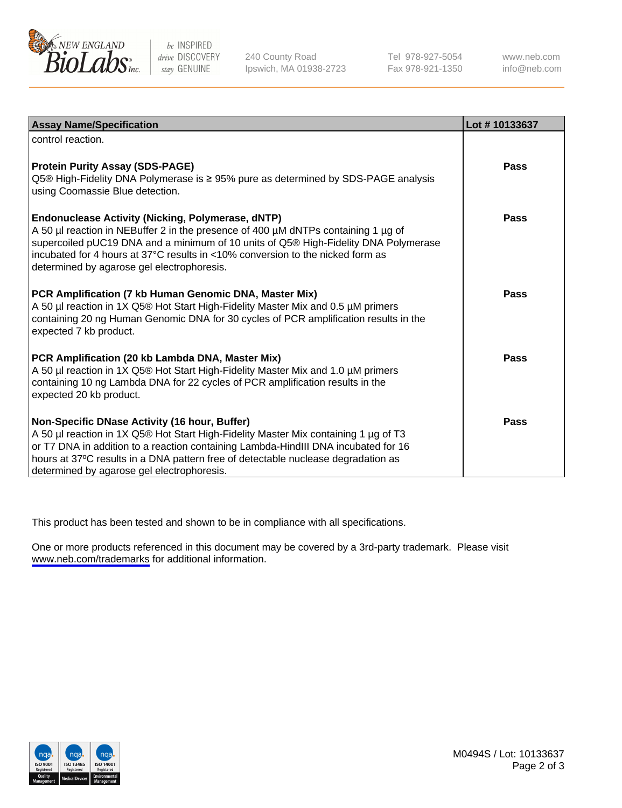

be INSPIRED drive DISCOVERY stay GENUINE

240 County Road Ipswich, MA 01938-2723 Tel 978-927-5054 Fax 978-921-1350

www.neb.com info@neb.com

| <b>Assay Name/Specification</b>                                                                                                                                                                                                                                                                                                                                      | Lot #10133637 |
|----------------------------------------------------------------------------------------------------------------------------------------------------------------------------------------------------------------------------------------------------------------------------------------------------------------------------------------------------------------------|---------------|
| control reaction.                                                                                                                                                                                                                                                                                                                                                    |               |
| <b>Protein Purity Assay (SDS-PAGE)</b><br>Q5® High-Fidelity DNA Polymerase is ≥ 95% pure as determined by SDS-PAGE analysis<br>using Coomassie Blue detection.                                                                                                                                                                                                       | <b>Pass</b>   |
| <b>Endonuclease Activity (Nicking, Polymerase, dNTP)</b><br>A 50 µl reaction in NEBuffer 2 in the presence of 400 µM dNTPs containing 1 µg of<br>supercoiled pUC19 DNA and a minimum of 10 units of Q5® High-Fidelity DNA Polymerase<br>incubated for 4 hours at 37°C results in <10% conversion to the nicked form as<br>determined by agarose gel electrophoresis. | Pass          |
| PCR Amplification (7 kb Human Genomic DNA, Master Mix)<br>A 50 µl reaction in 1X Q5® Hot Start High-Fidelity Master Mix and 0.5 µM primers<br>containing 20 ng Human Genomic DNA for 30 cycles of PCR amplification results in the<br>expected 7 kb product.                                                                                                         | Pass          |
| PCR Amplification (20 kb Lambda DNA, Master Mix)<br>A 50 µl reaction in 1X Q5® Hot Start High-Fidelity Master Mix and 1.0 µM primers<br>containing 10 ng Lambda DNA for 22 cycles of PCR amplification results in the<br>expected 20 kb product.                                                                                                                     | <b>Pass</b>   |
| Non-Specific DNase Activity (16 hour, Buffer)<br>A 50 µl reaction in 1X Q5® Hot Start High-Fidelity Master Mix containing 1 µg of T3<br>or T7 DNA in addition to a reaction containing Lambda-HindIII DNA incubated for 16<br>hours at 37°C results in a DNA pattern free of detectable nuclease degradation as<br>determined by agarose gel electrophoresis.        | Pass          |

This product has been tested and shown to be in compliance with all specifications.

One or more products referenced in this document may be covered by a 3rd-party trademark. Please visit <www.neb.com/trademarks>for additional information.